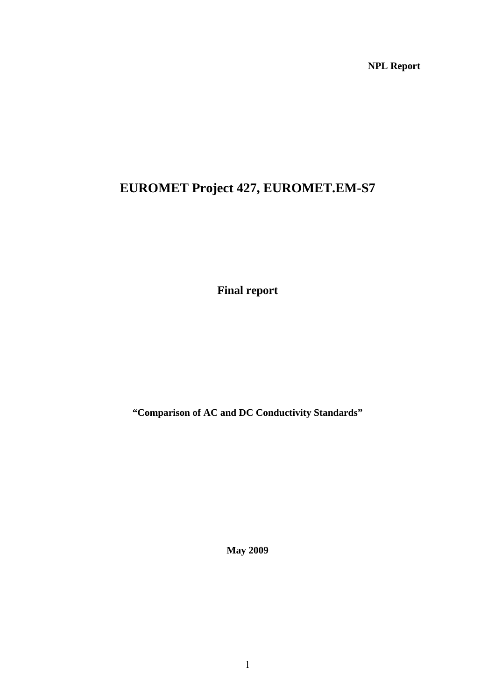**NPL Report** 

# **EUROMET Project 427, EUROMET.EM-S7**

**Final report** 

**"Comparison of AC and DC Conductivity Standards"** 

**May 2009**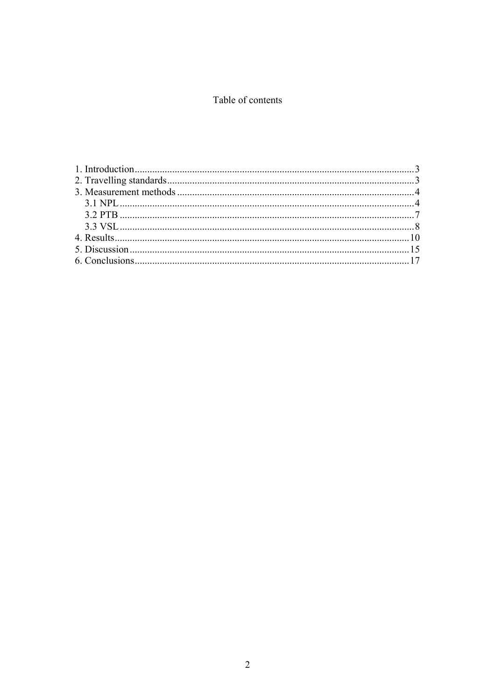## Table of contents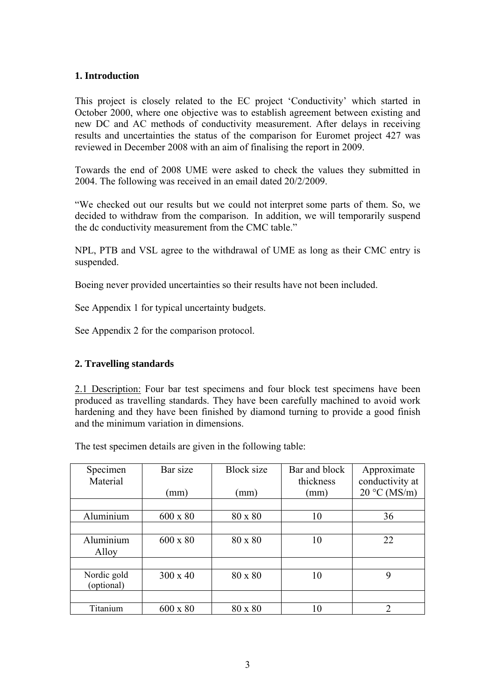## <span id="page-2-0"></span>**1. Introduction**

This project is closely related to the EC project 'Conductivity' which started in October 2000, where one objective was to establish agreement between existing and new DC and AC methods of conductivity measurement. After delays in receiving results and uncertainties the status of the comparison for Euromet project 427 was reviewed in December 2008 with an aim of finalising the report in 2009.

Towards the end of 2008 UME were asked to check the values they submitted in 2004. The following was received in an email dated 20/2/2009.

"We checked out our results but we could not interpret some parts of them. So, we decided to withdraw from the comparison. In addition, we will temporarily suspend the dc conductivity measurement from the CMC table."

NPL, PTB and VSL agree to the withdrawal of UME as long as their CMC entry is suspended.

Boeing never provided uncertainties so their results have not been included.

See Appendix 1 for typical uncertainty budgets.

See Appendix 2 for the comparison protocol.

## **2. Travelling standards**

2.1 Description: Four bar test specimens and four block test specimens have been produced as travelling standards. They have been carefully machined to avoid work hardening and they have been finished by diamond turning to provide a good finish and the minimum variation in dimensions.

The test specimen details are given in the following table:

| Specimen<br>Material      | Bar size        | <b>Block</b> size | Bar and block<br>thickness | Approximate<br>conductivity at |
|---------------------------|-----------------|-------------------|----------------------------|--------------------------------|
|                           | (mm             | (mm)              | (mm)                       | $20 °C$ (MS/m)                 |
|                           |                 |                   |                            |                                |
| Aluminium                 | $600 \times 80$ | 80 x 80           | 10                         | 36                             |
|                           |                 |                   |                            |                                |
| Aluminium<br>Alloy        | $600 \times 80$ | 80 x 80           | 10                         | 22                             |
|                           |                 |                   |                            |                                |
| Nordic gold<br>(optional) | $300 \times 40$ | 80 x 80           | 10                         | 9                              |
|                           |                 |                   |                            |                                |
| Titanium                  | $600 \times 80$ | 80 x 80           | 10                         | $\mathcal{D}$                  |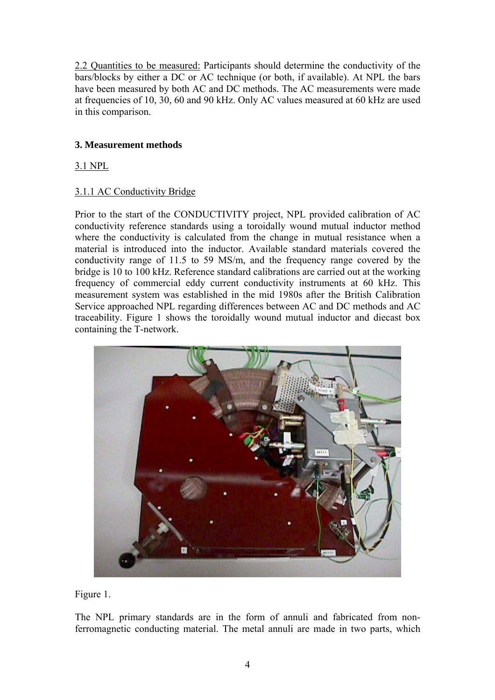<span id="page-3-0"></span>2.2 Quantities to be measured: Participants should determine the conductivity of the bars/blocks by either a DC or AC technique (or both, if available). At NPL the bars have been measured by both AC and DC methods. The AC measurements were made at frequencies of 10, 30, 60 and 90 kHz. Only AC values measured at 60 kHz are used in this comparison.

## **3. Measurement methods**

3.1 NPL

## 3.1.1 AC Conductivity Bridge

Prior to the start of the CONDUCTIVITY project, NPL provided calibration of AC conductivity reference standards using a toroidally wound mutual inductor method where the conductivity is calculated from the change in mutual resistance when a material is introduced into the inductor. Available standard materials covered the conductivity range of 11.5 to 59 MS/m, and the frequency range covered by the bridge is 10 to 100 kHz. Reference standard calibrations are carried out at the working frequency of commercial eddy current conductivity instruments at 60 kHz. This measurement system was established in the mid 1980s after the British Calibration Service approached NPL regarding differences between AC and DC methods and AC traceability. Figure 1 shows the toroidally wound mutual inductor and diecast box containing the T-network.



Figure 1.

The NPL primary standards are in the form of annuli and fabricated from nonferromagnetic conducting material. The metal annuli are made in two parts, which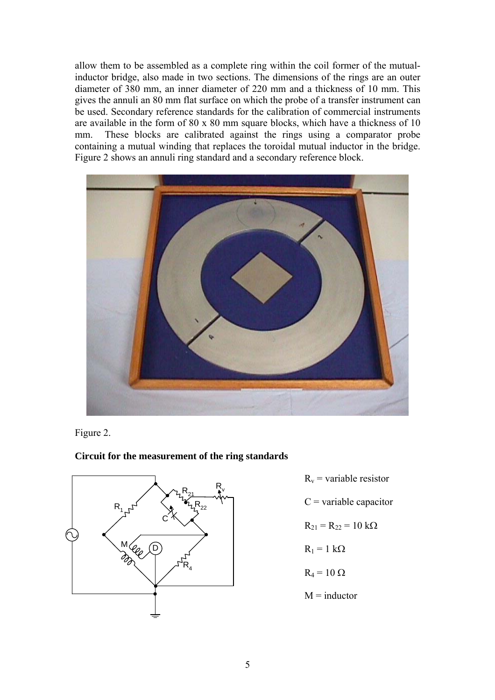allow them to be assembled as a complete ring within the coil former of the mutualinductor bridge, also made in two sections. The dimensions of the rings are an outer diameter of 380 mm, an inner diameter of 220 mm and a thickness of 10 mm. This gives the annuli an 80 mm flat surface on which the probe of a transfer instrument can be used. Secondary reference standards for the calibration of commercial instruments are available in the form of 80 x 80 mm square blocks, which have a thickness of 10 mm. These blocks are calibrated against the rings using a comparator probe containing a mutual winding that replaces the toroidal mutual inductor in the bridge. Figure 2 shows an annuli ring standard and a secondary reference block.



Figure 2.

**Circuit for the measurement of the ring standards**



- $R_v$  = variable resistor
- $C$  = variable capacitor

$$
R_{21} = R_{22} = 10 \text{ k}\Omega
$$

$$
R_1 = 1 \ k\Omega
$$

$$
R_4 = 10 \ \Omega
$$

 $M = inductor$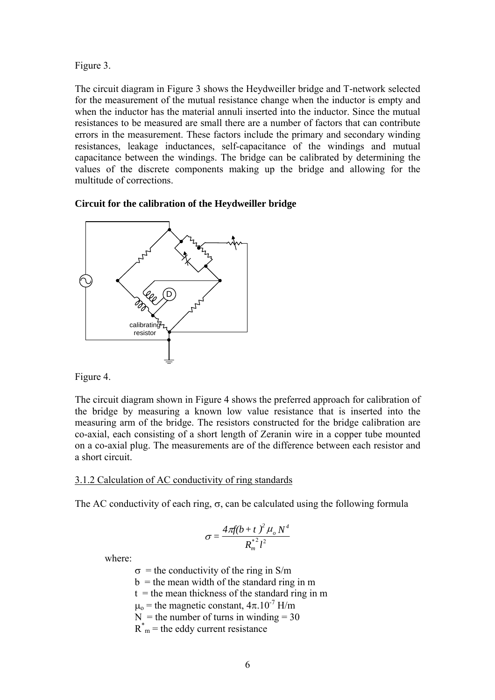Figure 3.

The circuit diagram in Figure 3 shows the Heydweiller bridge and T-network selected for the measurement of the mutual resistance change when the inductor is empty and when the inductor has the material annuli inserted into the inductor. Since the mutual resistances to be measured are small there are a number of factors that can contribute errors in the measurement. These factors include the primary and secondary winding resistances, leakage inductances, self-capacitance of the windings and mutual capacitance between the windings. The bridge can be calibrated by determining the values of the discrete components making up the bridge and allowing for the multitude of corrections.

#### **Circuit for the calibration of the Heydweiller bridge**





The circuit diagram shown in Figure 4 shows the preferred approach for calibration of the bridge by measuring a known low value resistance that is inserted into the measuring arm of the bridge. The resistors constructed for the bridge calibration are co-axial, each consisting of a short length of Zeranin wire in a copper tube mounted on a co-axial plug. The measurements are of the difference between each resistor and a short circuit.

#### 3.1.2 Calculation of AC conductivity of ring standards

The AC conductivity of each ring,  $\sigma$ , can be calculated using the following formula

$$
\sigma = \frac{4\pi f(b+t)^2 \mu_o N^4}{R_m^{*2}l^2}
$$

where:

- $\sigma$  = the conductivity of the ring in S/m
- $b =$  the mean width of the standard ring in m
- $t =$  the mean thickness of the standard ring in m
- $\mu_0$  = the magnetic constant,  $4\pi$ .10<sup>-7</sup> H/m
- $N =$  the number of turns in winding = 30
- $R_{m}^{*}$  = the eddy current resistance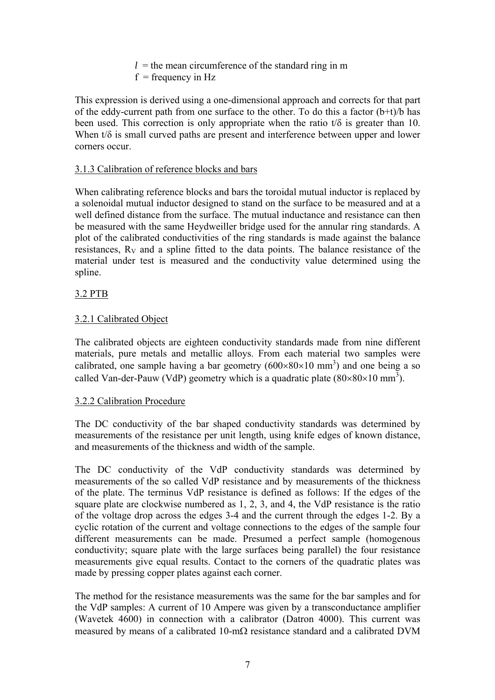$l =$  the mean circumference of the standard ring in m  $f = \text{frequency in Hz}$ 

<span id="page-6-0"></span>This expression is derived using a one-dimensional approach and corrects for that part of the eddy-current path from one surface to the other. To do this a factor  $(b+t)/b$  has been used. This correction is only appropriate when the ratio  $t/\delta$  is greater than 10. When  $t/\delta$  is small curved paths are present and interference between upper and lower corners occur.

## 3.1.3 Calibration of reference blocks and bars

When calibrating reference blocks and bars the toroidal mutual inductor is replaced by a solenoidal mutual inductor designed to stand on the surface to be measured and at a well defined distance from the surface. The mutual inductance and resistance can then be measured with the same Heydweiller bridge used for the annular ring standards. A plot of the calibrated conductivities of the ring standards is made against the balance resistances,  $R_V$  and a spline fitted to the data points. The balance resistance of the material under test is measured and the conductivity value determined using the spline.

## 3.2 PTB

## 3.2.1 Calibrated Object

The calibrated objects are eighteen conductivity standards made from nine different materials, pure metals and metallic alloys. From each material two samples were calibrated, one sample having a bar geometry  $(600 \times 80 \times 10 \text{ mm}^3)$  and one being a so called Van-der-Pauw (VdP) geometry which is a quadratic plate  $(80\times80\times10 \text{ mm}^3)$ .

## 3.2.2 Calibration Procedure

The DC conductivity of the bar shaped conductivity standards was determined by measurements of the resistance per unit length, using knife edges of known distance, and measurements of the thickness and width of the sample.

The DC conductivity of the VdP conductivity standards was determined by measurements of the so called VdP resistance and by measurements of the thickness of the plate. The terminus VdP resistance is defined as follows: If the edges of the square plate are clockwise numbered as 1, 2, 3, and 4, the VdP resistance is the ratio of the voltage drop across the edges 3-4 and the current through the edges 1-2. By a cyclic rotation of the current and voltage connections to the edges of the sample four different measurements can be made. Presumed a perfect sample (homogenous conductivity; square plate with the large surfaces being parallel) the four resistance measurements give equal results. Contact to the corners of the quadratic plates was made by pressing copper plates against each corner.

The method for the resistance measurements was the same for the bar samples and for the VdP samples: A current of 10 Ampere was given by a transconductance amplifier (Wavetek 4600) in connection with a calibrator (Datron 4000). This current was measured by means of a calibrated 10-mΩ resistance standard and a calibrated DVM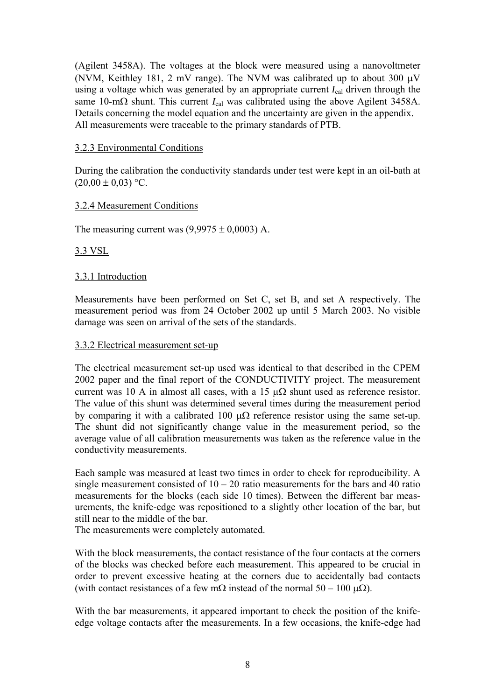<span id="page-7-0"></span>(Agilent 3458A). The voltages at the block were measured using a nanovoltmeter (NVM, Keithley 181, 2 mV range). The NVM was calibrated up to about 300 μV using a voltage which was generated by an appropriate current *I*cal driven through the same 10-m $\Omega$  shunt. This current  $I_{\text{cal}}$  was calibrated using the above Agilent 3458A. Details concerning the model equation and the uncertainty are given in the appendix. All measurements were traceable to the primary standards of PTB.

#### 3.2.3 Environmental Conditions

During the calibration the conductivity standards under test were kept in an oil-bath at  $(20.00 \pm 0.03)$  °C.

#### 3.2.4 Measurement Conditions

The measuring current was  $(9,9975 \pm 0,0003)$  A.

#### 3.3 VSL

#### 3.3.1 Introduction

Measurements have been performed on Set C, set B, and set A respectively. The measurement period was from 24 October 2002 up until 5 March 2003. No visible damage was seen on arrival of the sets of the standards.

#### 3.3.2 Electrical measurement set-up

The electrical measurement set-up used was identical to that described in the CPEM 2002 paper and the final report of the CONDUCTIVITY project. The measurement current was 10 A in almost all cases, with a 15  $\mu\Omega$  shunt used as reference resistor. The value of this shunt was determined several times during the measurement period by comparing it with a calibrated 100  $\mu\Omega$  reference resistor using the same set-up. The shunt did not significantly change value in the measurement period, so the average value of all calibration measurements was taken as the reference value in the conductivity measurements.

Each sample was measured at least two times in order to check for reproducibility. A single measurement consisted of  $10 - 20$  ratio measurements for the bars and 40 ratio measurements for the blocks (each side 10 times). Between the different bar measurements, the knife-edge was repositioned to a slightly other location of the bar, but still near to the middle of the bar.

The measurements were completely automated.

With the block measurements, the contact resistance of the four contacts at the corners of the blocks was checked before each measurement. This appeared to be crucial in order to prevent excessive heating at the corners due to accidentally bad contacts (with contact resistances of a few mΩ instead of the normal  $50 - 100 \text{ μ}\Omega$ ).

With the bar measurements, it appeared important to check the position of the knifeedge voltage contacts after the measurements. In a few occasions, the knife-edge had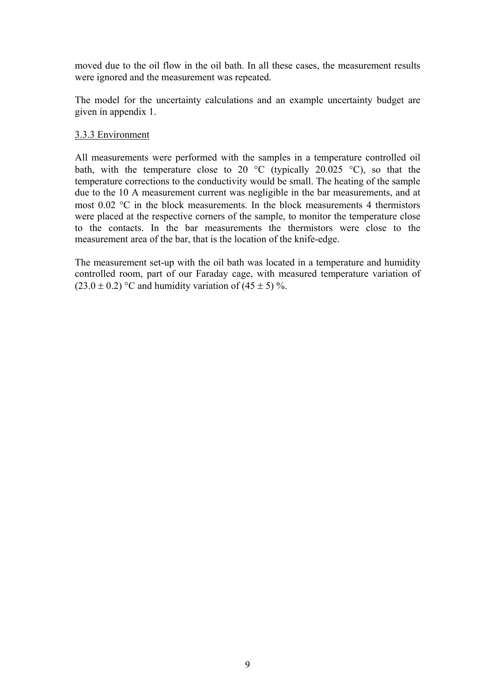moved due to the oil flow in the oil bath. In all these cases, the measurement results were ignored and the measurement was repeated.

The model for the uncertainty calculations and an example uncertainty budget are given in appendix 1.

#### 3.3.3 Environment

All measurements were performed with the samples in a temperature controlled oil bath, with the temperature close to 20  $\degree$ C (typically 20.025  $\degree$ C), so that the temperature corrections to the conductivity would be small. The heating of the sample due to the 10 A measurement current was negligible in the bar measurements, and at most  $0.02$  °C in the block measurements. In the block measurements 4 thermistors were placed at the respective corners of the sample, to monitor the temperature close to the contacts. In the bar measurements the thermistors were close to the measurement area of the bar, that is the location of the knife-edge.

The measurement set-up with the oil bath was located in a temperature and humidity controlled room, part of our Faraday cage, with measured temperature variation of  $(23.0 \pm 0.2)$  °C and humidity variation of  $(45 \pm 5)$  %.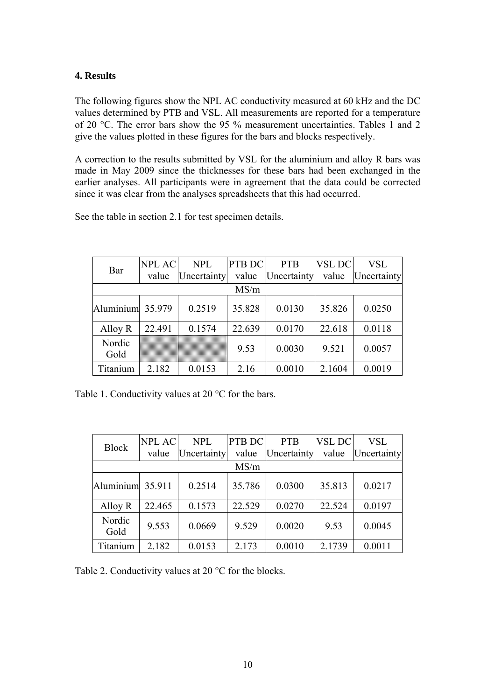## <span id="page-9-0"></span>**4. Results**

The following figures show the NPL AC conductivity measured at 60 kHz and the DC values determined by PTB and VSL. All measurements are reported for a temperature of 20 °C. The error bars show the 95 % measurement uncertainties. Tables 1 and 2 give the values plotted in these figures for the bars and blocks respectively.

A correction to the results submitted by VSL for the aluminium and alloy R bars was made in May 2009 since the thicknesses for these bars had been exchanged in the earlier analyses. All participants were in agreement that the data could be corrected since it was clear from the analyses spreadsheets that this had occurred.

See the table in section 2.1 for test specimen details.

|                  | <b>NPL AC</b> | <b>NPL</b>  | PTB DC | <b>PTB</b>  | <b>VSL DC</b> | VSL         |
|------------------|---------------|-------------|--------|-------------|---------------|-------------|
| Bar              | value         | Uncertainty | value  | Uncertainty | value         | Uncertainty |
|                  |               |             | MS/m   |             |               |             |
| Aluminium 35.979 |               | 0.2519      | 35.828 | 0.0130      | 35.826        | 0.0250      |
| Alloy R          | 22.491        | 0.1574      | 22.639 | 0.0170      | 22.618        | 0.0118      |
| Nordic<br>Gold   |               |             | 9.53   | 0.0030      | 9.521         | 0.0057      |
| Titanium         | 2.182         | 0.0153      | 2.16   | 0.0010      | 2.1604        | 0.0019      |

Table 1. Conductivity values at 20 °C for the bars.

| <b>Block</b>     | <b>NPL AC</b> | <b>NPL</b>  | PTB DC | <b>PTB</b>  | <b>VSL DC</b> | VSL         |
|------------------|---------------|-------------|--------|-------------|---------------|-------------|
|                  | value         | Uncertainty | value  | Uncertainty | value         | Uncertainty |
|                  |               |             | MS/m   |             |               |             |
| Aluminium 35.911 |               | 0.2514      | 35.786 | 0.0300      | 35.813        | 0.0217      |
| Alloy R          | 22.465        | 0.1573      | 22.529 | 0.0270      | 22.524        | 0.0197      |
| Nordic<br>Gold   | 9.553         | 0.0669      | 9.529  | 0.0020      | 9.53          | 0.0045      |
| Titanium         | 2.182         | 0.0153      | 2.173  | 0.0010      | 2.1739        | 0.0011      |

Table 2. Conductivity values at 20 °C for the blocks.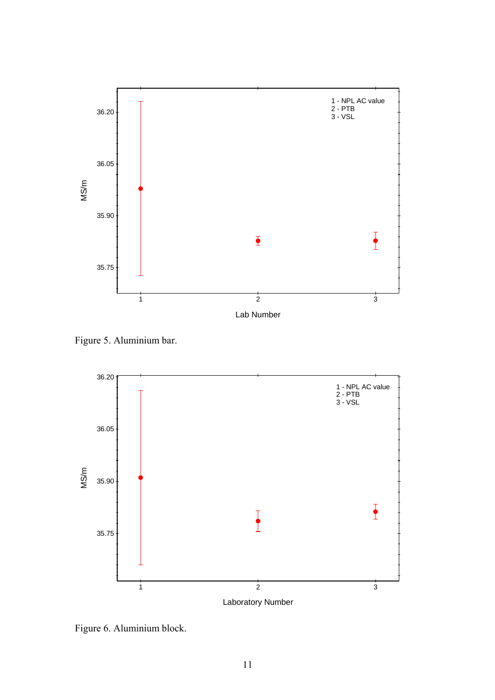

Figure 5. Aluminium bar.



Figure 6. Aluminium block.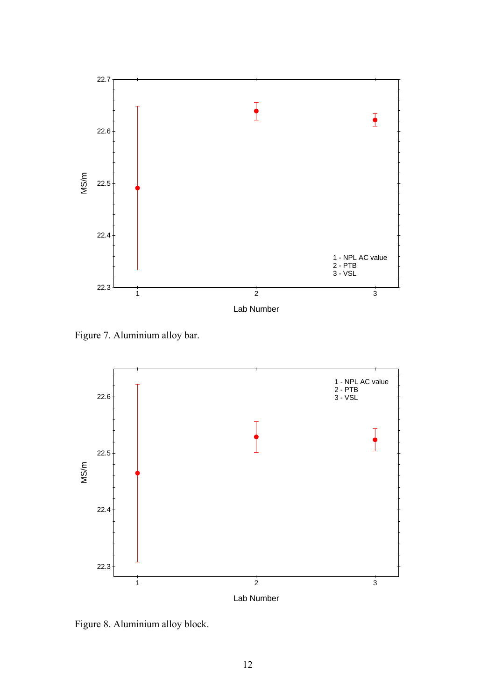

Figure 7. Aluminium alloy bar.



Figure 8. Aluminium alloy block.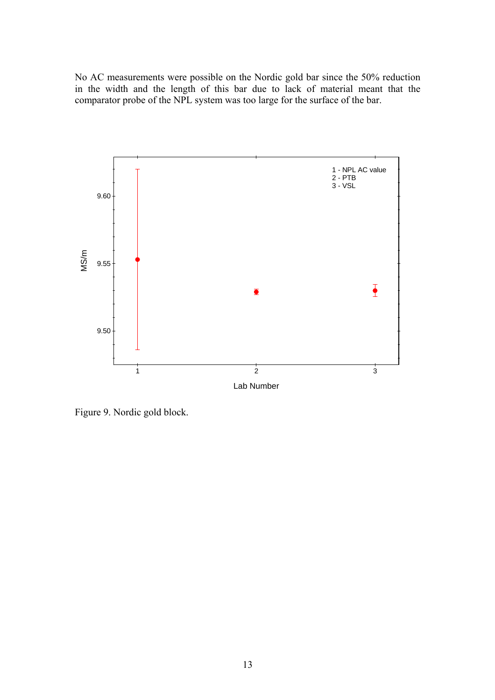No AC measurements were possible on the Nordic gold bar since the 50% reduction in the width and the length of this bar due to lack of material meant that the comparator probe of the NPL system was too large for the surface of the bar.



Figure 9. Nordic gold block.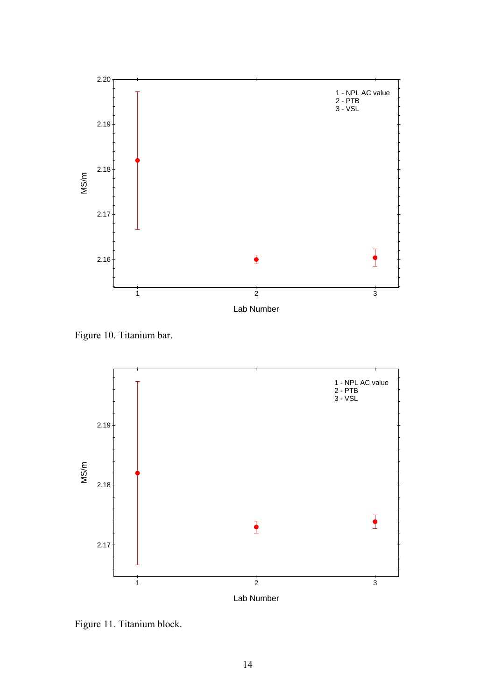

Figure 10. Titanium bar.



Figure 11. Titanium block.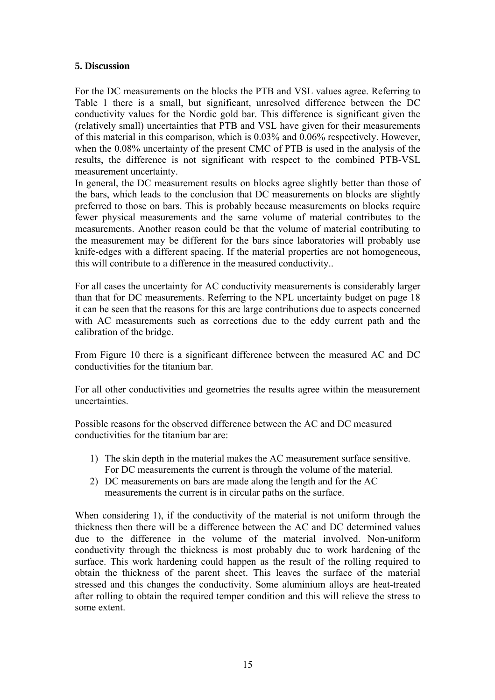#### <span id="page-14-0"></span>**5. Discussion**

For the DC measurements on the blocks the PTB and VSL values agree. Referring to Table 1 there is a small, but significant, unresolved difference between the DC conductivity values for the Nordic gold bar. This difference is significant given the (relatively small) uncertainties that PTB and VSL have given for their measurements of this material in this comparison, which is 0.03% and 0.06% respectively. However, when the 0.08% uncertainty of the present CMC of PTB is used in the analysis of the results, the difference is not significant with respect to the combined PTB-VSL measurement uncertainty.

In general, the DC measurement results on blocks agree slightly better than those of the bars, which leads to the conclusion that DC measurements on blocks are slightly preferred to those on bars. This is probably because measurements on blocks require fewer physical measurements and the same volume of material contributes to the measurements. Another reason could be that the volume of material contributing to the measurement may be different for the bars since laboratories will probably use knife-edges with a different spacing. If the material properties are not homogeneous, this will contribute to a difference in the measured conductivity..

For all cases the uncertainty for AC conductivity measurements is considerably larger than that for DC measurements. Referring to the NPL uncertainty budget on page 18 it can be seen that the reasons for this are large contributions due to aspects concerned with AC measurements such as corrections due to the eddy current path and the calibration of the bridge.

From Figure 10 there is a significant difference between the measured AC and DC conductivities for the titanium bar.

For all other conductivities and geometries the results agree within the measurement uncertainties.

Possible reasons for the observed difference between the AC and DC measured conductivities for the titanium bar are:

- 1) The skin depth in the material makes the AC measurement surface sensitive. For DC measurements the current is through the volume of the material.
- 2) DC measurements on bars are made along the length and for the AC measurements the current is in circular paths on the surface.

When considering 1), if the conductivity of the material is not uniform through the thickness then there will be a difference between the AC and DC determined values due to the difference in the volume of the material involved. Non-uniform conductivity through the thickness is most probably due to work hardening of the surface. This work hardening could happen as the result of the rolling required to obtain the thickness of the parent sheet. This leaves the surface of the material stressed and this changes the conductivity. Some aluminium alloys are heat-treated after rolling to obtain the required temper condition and this will relieve the stress to some extent.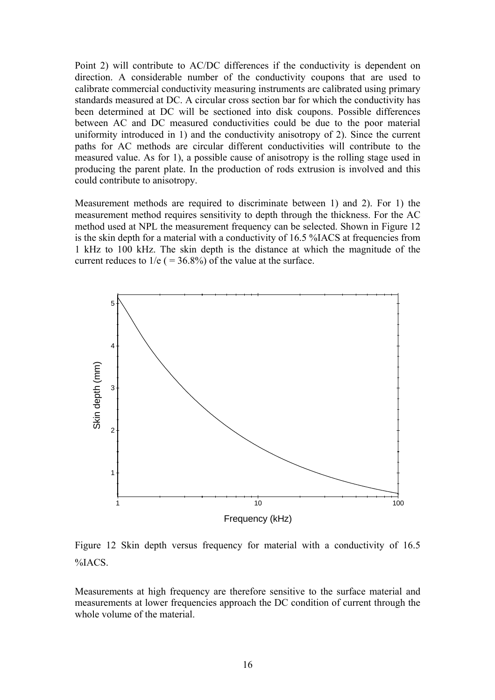Point 2) will contribute to AC/DC differences if the conductivity is dependent on direction. A considerable number of the conductivity coupons that are used to calibrate commercial conductivity measuring instruments are calibrated using primary standards measured at DC. A circular cross section bar for which the conductivity has been determined at DC will be sectioned into disk coupons. Possible differences between AC and DC measured conductivities could be due to the poor material uniformity introduced in 1) and the conductivity anisotropy of 2). Since the current paths for AC methods are circular different conductivities will contribute to the measured value. As for 1), a possible cause of anisotropy is the rolling stage used in producing the parent plate. In the production of rods extrusion is involved and this could contribute to anisotropy.

Measurement methods are required to discriminate between 1) and 2). For 1) the measurement method requires sensitivity to depth through the thickness. For the AC method used at NPL the measurement frequency can be selected. Shown in Figure 12 is the skin depth for a material with a conductivity of 16.5 %IACS at frequencies from 1 kHz to 100 kHz. The skin depth is the distance at which the magnitude of the current reduces to  $1/e$  ( = 36.8%) of the value at the surface.



Figure 12 Skin depth versus frequency for material with a conductivity of 16.5 %IACS.

Measurements at high frequency are therefore sensitive to the surface material and measurements at lower frequencies approach the DC condition of current through the whole volume of the material.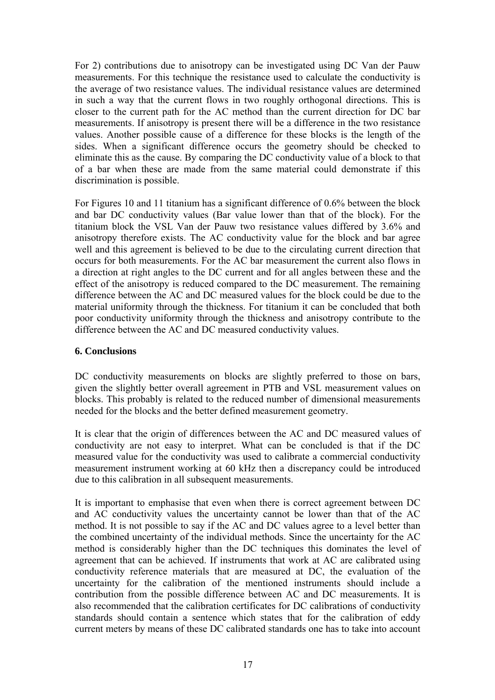<span id="page-16-0"></span>For 2) contributions due to anisotropy can be investigated using DC Van der Pauw measurements. For this technique the resistance used to calculate the conductivity is the average of two resistance values. The individual resistance values are determined in such a way that the current flows in two roughly orthogonal directions. This is closer to the current path for the AC method than the current direction for DC bar measurements. If anisotropy is present there will be a difference in the two resistance values. Another possible cause of a difference for these blocks is the length of the sides. When a significant difference occurs the geometry should be checked to eliminate this as the cause. By comparing the DC conductivity value of a block to that of a bar when these are made from the same material could demonstrate if this discrimination is possible.

For Figures 10 and 11 titanium has a significant difference of 0.6% between the block and bar DC conductivity values (Bar value lower than that of the block). For the titanium block the VSL Van der Pauw two resistance values differed by 3.6% and anisotropy therefore exists. The AC conductivity value for the block and bar agree well and this agreement is believed to be due to the circulating current direction that occurs for both measurements. For the AC bar measurement the current also flows in a direction at right angles to the DC current and for all angles between these and the effect of the anisotropy is reduced compared to the DC measurement. The remaining difference between the AC and DC measured values for the block could be due to the material uniformity through the thickness. For titanium it can be concluded that both poor conductivity uniformity through the thickness and anisotropy contribute to the difference between the AC and DC measured conductivity values.

#### **6. Conclusions**

DC conductivity measurements on blocks are slightly preferred to those on bars, given the slightly better overall agreement in PTB and VSL measurement values on blocks. This probably is related to the reduced number of dimensional measurements needed for the blocks and the better defined measurement geometry.

It is clear that the origin of differences between the AC and DC measured values of conductivity are not easy to interpret. What can be concluded is that if the DC measured value for the conductivity was used to calibrate a commercial conductivity measurement instrument working at 60 kHz then a discrepancy could be introduced due to this calibration in all subsequent measurements.

It is important to emphasise that even when there is correct agreement between DC and AC conductivity values the uncertainty cannot be lower than that of the AC method. It is not possible to say if the AC and DC values agree to a level better than the combined uncertainty of the individual methods. Since the uncertainty for the AC method is considerably higher than the DC techniques this dominates the level of agreement that can be achieved. If instruments that work at AC are calibrated using conductivity reference materials that are measured at DC, the evaluation of the uncertainty for the calibration of the mentioned instruments should include a contribution from the possible difference between AC and DC measurements. It is also recommended that the calibration certificates for DC calibrations of conductivity standards should contain a sentence which states that for the calibration of eddy current meters by means of these DC calibrated standards one has to take into account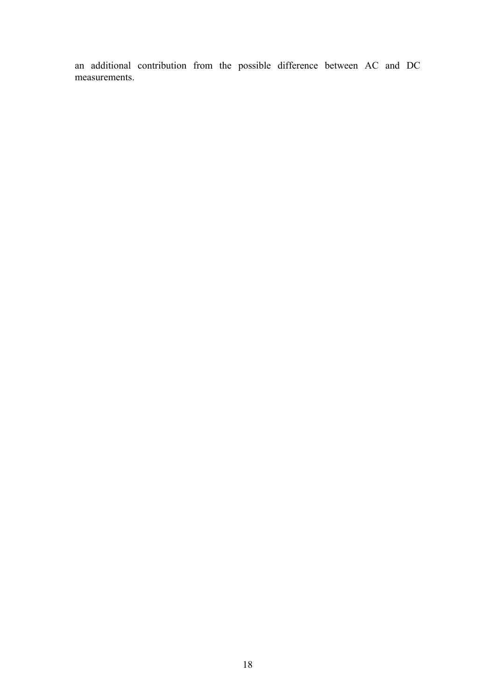an additional contribution from the possible difference between AC and DC measurements.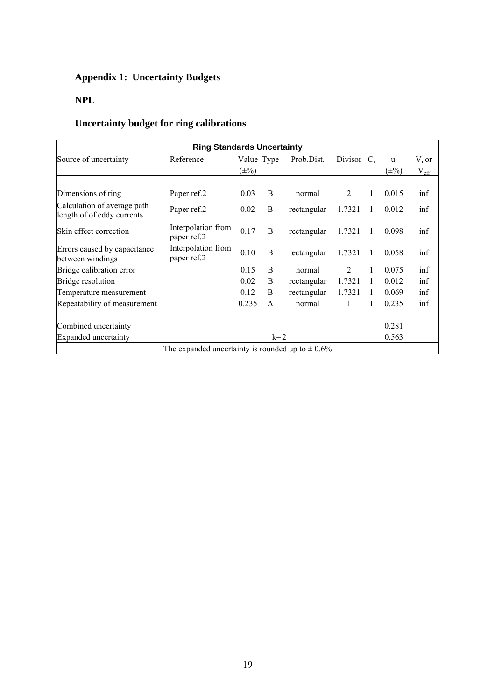# **Appendix 1: Uncertainty Budgets**

# **NPL**

# **Uncertainty budget for ring calibrations**

| <b>Ring Standards Uncertainty</b>                         |                                                       |            |              |             |                |  |           |               |  |
|-----------------------------------------------------------|-------------------------------------------------------|------------|--------------|-------------|----------------|--|-----------|---------------|--|
| Source of uncertainty                                     | Reference                                             | Value Type |              | Prob.Dist.  | Divisor $C_i$  |  | $u_i$     | $V_i$ or      |  |
|                                                           |                                                       | $(\pm\%)$  |              |             |                |  | $(\pm\%)$ | $V_{\rm eff}$ |  |
|                                                           |                                                       |            |              |             |                |  |           |               |  |
| Dimensions of ring                                        | Paper ref.2                                           | 0.03       | B            | normal      | $\overline{2}$ |  | 0.015     | inf           |  |
| Calculation of average path<br>length of of eddy currents | Paper ref.2                                           | 0.02       | B            | rectangular | 1.7321         |  | 0.012     | inf           |  |
| Skin effect correction                                    | Interpolation from<br>paper ref.2                     | 0.17       | B            | rectangular | 1.7321         |  | 0.098     | inf           |  |
| Errors caused by capacitance<br>between windings          | Interpolation from<br>paper ref.2                     | 0.10       | B            | rectangular | 1.7321         |  | 0.058     | inf           |  |
| Bridge calibration error                                  |                                                       | 0.15       | B            | normal      | 2              |  | 0.075     | inf           |  |
| Bridge resolution                                         |                                                       | 0.02       | B            | rectangular | 1.7321         |  | 0.012     | inf           |  |
| Temperature measurement                                   |                                                       | 0.12       | B            | rectangular | 1.7321         |  | 0.069     | inf           |  |
| Repeatability of measurement                              |                                                       | 0.235      | $\mathsf{A}$ | normal      |                |  | 0.235     | inf           |  |
| Combined uncertainty                                      |                                                       |            |              |             |                |  | 0.281     |               |  |
| <b>Expanded</b> uncertainty                               |                                                       |            | $k=2$        |             |                |  | 0.563     |               |  |
|                                                           | The expanded uncertainty is rounded up to $\pm 0.6\%$ |            |              |             |                |  |           |               |  |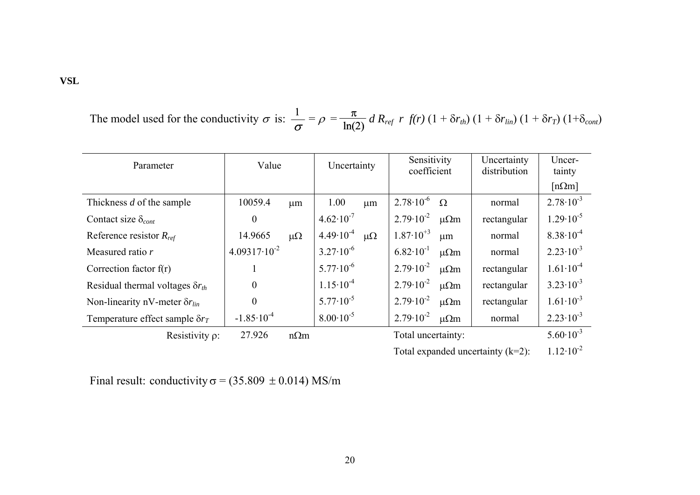The model used for the conductivity 
$$
\sigma
$$
 is:  $\frac{1}{\sigma} = \rho = \frac{\pi}{\ln(2)} d R_{ref} r f(r) (1 + \delta r_{th}) (1 + \delta r_{lin}) (1 + \delta r_{T}) (1 + \delta_{cont})$ 

| Parameter                                 | Value                   |             | Uncertainty          |             | Sensitivity<br>coefficient |               | Uncertainty<br>distribution | Uncer-<br>tainty     |
|-------------------------------------------|-------------------------|-------------|----------------------|-------------|----------------------------|---------------|-----------------------------|----------------------|
|                                           |                         |             |                      |             |                            |               |                             | $[n\Omega m]$        |
| Thickness d of the sample                 | 10059.4                 | $\mu$ m     | 1.00                 | $\mu$ m     | $2.78 \cdot 10^{-6}$       | $\Omega$      | normal                      | $2.78 \cdot 10^{-3}$ |
| Contact size $\delta_{cont}$              | $\theta$                |             | $4.62 \cdot 10^{-7}$ |             | $2.79 \cdot 10^{-2}$       | $\mu\Omega$ m | rectangular                 | $1.29 \cdot 10^{-5}$ |
| Reference resistor $R_{ref}$              | 14.9665                 | $\mu\Omega$ | $4.49 \cdot 10^{-4}$ | $\mu\Omega$ | $1.87 \cdot 10^{+3}$       | μm            | normal                      | $8.38 \cdot 10^{-4}$ |
| Measured ratio r                          | $4.09317 \cdot 10^{-2}$ |             | $3.27 \cdot 10^{-6}$ |             | $6.82 \cdot 10^{-1}$       | $\mu\Omega$ m | normal                      | $2.23 \cdot 10^{-3}$ |
| Correction factor $f(r)$                  |                         |             | $5.77 \cdot 10^{-6}$ |             | $2.79 \cdot 10^{-2}$       | $\mu\Omega$ m | rectangular                 | $1.61 \cdot 10^{-4}$ |
| Residual thermal voltages $\delta r_{th}$ | $\overline{0}$          |             | $1.15 \cdot 10^{-4}$ |             | $2.79 \cdot 10^{-2}$       | $\mu\Omega$ m | rectangular                 | $3.23 \cdot 10^{-3}$ |
| Non-linearity nV-meter $\delta r_{lin}$   | $\overline{0}$          |             | $5.77 \cdot 10^{-5}$ |             | $2.79 \cdot 10^{-2}$       | $\mu\Omega$ m | rectangular                 | $1.61 \cdot 10^{-3}$ |
| Temperature effect sample $\delta r_T$    | $-1.85 \cdot 10^{-4}$   |             | $8.00 \cdot 10^{-5}$ |             | $2.79 \cdot 10^{-2}$       | $\mu\Omega$ m | normal                      | $2.23 \cdot 10^{-3}$ |
| Resistivity $\rho$ :                      | 27.926                  | $n\Omega$ m |                      |             | Total uncertainty:         |               |                             | $5.60 \cdot 10^{-3}$ |

Total expanded uncertainty (k=2):  $1.12 \cdot 10^{-2}$ 

Final result: conductivity  $\sigma$  = (35.809  $\pm$  0.014) MS/m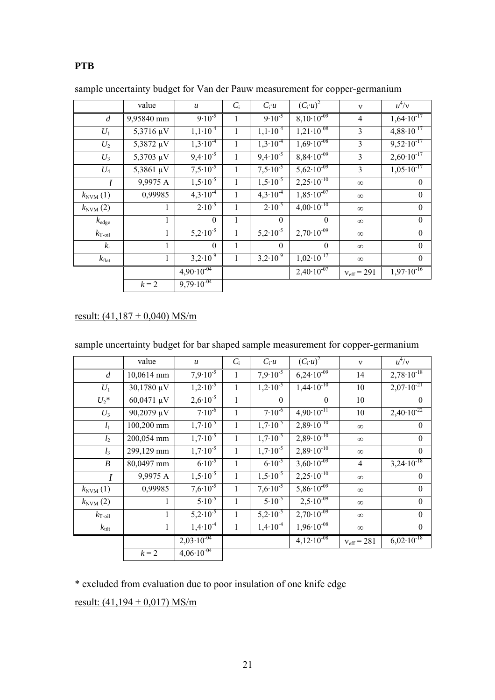## **PTB**

|                             | value        | $\mathfrak u$   | $C_i$ | $C_i u$                      | $(C_i u)^2$                    | $\mathbf{v}$        | $u^4/v$                        |
|-----------------------------|--------------|-----------------|-------|------------------------------|--------------------------------|---------------------|--------------------------------|
| $\overline{d}$              | 9,95840 mm   | $9.10^{-5}$     | 1     | $9.10^{-5}$                  | $8,10.10^{-09}$                | $\overline{4}$      | $1,64 \cdot 10^{-17}$          |
| $U_1$                       | 5,3716 µV    | $1,1.10^{-4}$   | 1     | $1,1.10^{-4}$                | $1,21 \cdot 10^{-08}$          | 3                   | $4,88 \cdot 10^{-17}$          |
| $U_2$                       | 5,3872 µV    | $1,3.10^{-4}$   | 1     | $1,3.10^{-4}$                | $1,69.10^{-08}$                | 3                   | $9,52 \cdot 10^{-17}$          |
| $U_3$                       | 5,3703 µV    | $9,4.10^{-5}$   | 1     | $9,4.10^{-5}$                | $8,84 \cdot 10^{-09}$          | 3                   | $2,60 \cdot 10^{-17}$          |
| $U_4$                       | 5,3861 µV    | $7,5.10^{-5}$   | 1     | $7,5.10^{-5}$                | $5,62 \cdot 10^{-09}$          | 3                   | $1,05 \cdot 10^{-17}$          |
| $\overline{I}$              | 9,9975 A     | $1,5.10^{-5}$   | 1     | $1,5\cdot\overline{10^{-5}}$ | $2,25 \cdot 10^{-10}$          | $\infty$            | $\theta$                       |
| $k_{\text{NVM}}(1)$         | 0,99985      | $4,3.10^{4}$    |       | $4,3\cdot\overline{10^{-4}}$ | $1,85 \cdot 10^{-07}$          | $\infty$            | $\theta$                       |
| $k_{\text{NVM}}(2)$         | 1            | $2.10^{-5}$     | 1     | $2.10^{-5}$                  | $4,00 \cdot 10^{-10}$          | $\infty$            | $\theta$                       |
| $k_{\rm edge}$              | 1            | $\theta$        | 1     | $\theta$                     | $\theta$                       | $\infty$            | $\boldsymbol{0}$               |
| $k_{\mathrm{T}\text{-oil}}$ | $\mathbf{1}$ | $5,2.10^{-5}$   | 1     | $5,2.10^{-5}$                | $2,70\cdot\overline{10^{-09}}$ | $\infty$            | $\theta$                       |
| $k_{\rm r}$                 | 1            | $\theta$        | 1     | $\theta$                     | $\theta$                       | $\infty$            | $\theta$                       |
| $k_{\text{flat}}$           | 1            | $3,2.10^{-9}$   | 1     | $3,2.10^{-9}$                | $1,02 \cdot 10^{-17}$          | $\infty$            | $\theta$                       |
|                             |              | $4,90.10^{-04}$ |       |                              | $2,40.10^{-07}$                | $v_{\rm eff} = 291$ | $1,97\cdot\overline{10^{-16}}$ |
|                             | $k = 2$      | $9,79.10^{-04}$ |       |                              |                                |                     |                                |

sample uncertainty budget for Van der Pauw measurement for copper-germanium

## result:  $(41,187 \pm 0,040)$  MS/m

| sample uncertainty budget for bar shaped sample measurement for copper-germanium |  |  |  |  |
|----------------------------------------------------------------------------------|--|--|--|--|
|                                                                                  |  |  |  |  |
|                                                                                  |  |  |  |  |

|                             | value        | $\boldsymbol{u}$             | $C_i$ | $C_i u$             | $(C_i \overline{u})^2$ | $\mathbf{v}$           | $u^4/v$               |
|-----------------------------|--------------|------------------------------|-------|---------------------|------------------------|------------------------|-----------------------|
| $\boldsymbol{d}$            | 10,0614 mm   | $7,9.10^{-5}$                | 1     | $7.9 \cdot 10^{-5}$ | $6,24.10^{-09}$        | 14                     | $2,78\cdot10^{-18}$   |
| $U_1$                       | 30,1780 µV   | $1,2\cdot\overline{10^{-5}}$ | 1     | $1,2.10^{-5}$       | $1,44 \cdot 10^{-10}$  | 10                     | $2,07 \cdot 10^{-21}$ |
| $U_2^*$                     | 60,0471 µV   | $2,6.10^{-5}$                | 1     | $\theta$            | $\theta$               | 10                     | $\theta$              |
| $U_3$                       | 90,2079 µV   | $7.10^{-6}$                  | 1     | $7.10^{-6}$         | $4,90.10^{-11}$        | 10                     | $2,40.10^{-22}$       |
| $l_1$                       | 100,200 mm   | $1,7.10^{-5}$                | 1     | $1,7.10^{-5}$       | $2,89 \cdot 10^{-10}$  | $\infty$               | $\mathbf{0}$          |
| l <sub>2</sub>              | 200,054 mm   | $1,7.10^{-5}$                | 1     | $1,7.10^{-5}$       | $2,89.10^{-10}$        | $\infty$               | $\theta$              |
| $l_3$                       | 299,129 mm   | $1,7.10^{-5}$                | 1     | $1,7.10^{-5}$       | $2,89 \cdot 10^{-10}$  | $\infty$               | $\theta$              |
| $\boldsymbol{B}$            | 80,0497 mm   | $6.10^{-5}$                  |       | $6.10^{-5}$         | $3,60 \cdot 10^{-09}$  | $\overline{4}$         | $3,24 \cdot 10^{-18}$ |
| $\overline{I}$              | 9,9975 A     | $1,5.10^{-5}$                | 1     | $1,5.10^{-5}$       | $2,25 \cdot 10^{-10}$  | $\infty$               | $\mathbf{0}$          |
| $k_{\text{NVM}}(1)$         | 0,99985      | $7,6.10^{-5}$                | 1     | $7,6.10^{-5}$       | $5,86.10^{-09}$        | $\infty$               | $\theta$              |
| $k_{\text{NVM}}(2)$         | $\mathbf{1}$ | $5.10^{-5}$                  | 1     | $5.10^{-5}$         | $2,5.10^{-09}$         | $\infty$               | $\boldsymbol{0}$      |
| $k_{\mathrm{T}\text{-oil}}$ | 1            | $5,2\cdot\overline{10^{-5}}$ | 1     | $5,2.10^{-5}$       | $2,70.10^{-09}$        | $\infty$               | $\mathbf{0}$          |
| $k_{\text{tilt}}$           | $\mathbf{1}$ | $1,4.10^{-4}$                | 1     | $1,4.10^{-4}$       | $1,96 \cdot 10^{-08}$  | $\infty$               | $\boldsymbol{0}$      |
|                             |              | $2,03.10^{-04}$              |       |                     | $4,12 \cdot 10^{-08}$  | $v_{\text{eff}}$ = 281 | $6,02 \cdot 10^{-18}$ |
|                             | $k = 2$      | $4,06.10^{-04}$              |       |                     |                        |                        |                       |

\* excluded from evaluation due to poor insulation of one knife edge

result:  $(41,194 \pm 0,017)$  MS/m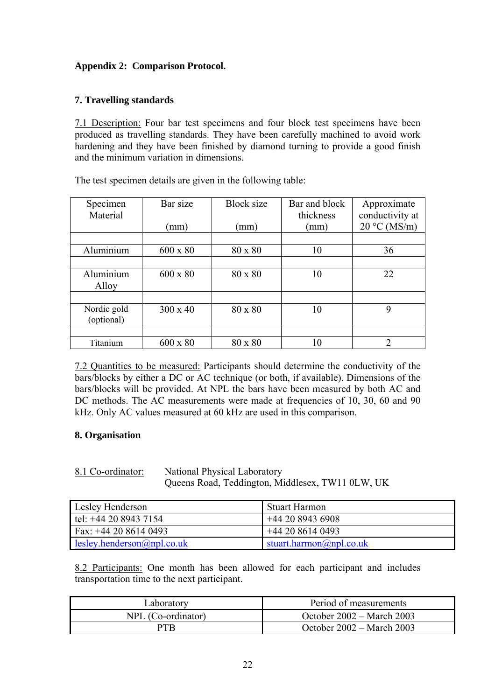## **Appendix 2: Comparison Protocol.**

## **7. Travelling standards**

7.1 Description: Four bar test specimens and four block test specimens have been produced as travelling standards. They have been carefully machined to avoid work hardening and they have been finished by diamond turning to provide a good finish and the minimum variation in dimensions.

The test specimen details are given in the following table:

| Specimen<br>Material      | Bar size        | <b>Block size</b> | Bar and block<br>thickness | Approximate<br>conductivity at |
|---------------------------|-----------------|-------------------|----------------------------|--------------------------------|
|                           | (mm)            | (mm)              | (mm)                       | $20 °C$ (MS/m)                 |
|                           |                 |                   |                            |                                |
| Aluminium                 | $600 \times 80$ | 80 x 80           | 10                         | 36                             |
|                           |                 |                   |                            |                                |
| Aluminium<br>Alloy        | $600 \times 80$ | 80 x 80           | 10                         | 22                             |
|                           |                 |                   |                            |                                |
| Nordic gold<br>(optional) | $300 \times 40$ | 80 x 80           | 10                         | 9                              |
|                           |                 |                   |                            |                                |
| Titanium                  | $600 \times 80$ | 80 x 80           | 10                         | ∍                              |

7.2 Quantities to be measured: Participants should determine the conductivity of the bars/blocks by either a DC or AC technique (or both, if available). Dimensions of the bars/blocks will be provided. At NPL the bars have been measured by both AC and DC methods. The AC measurements were made at frequencies of 10, 30, 60 and 90 kHz. Only AC values measured at 60 kHz are used in this comparison.

## **8. Organisation**

8.1 Co-ordinator: National Physical Laboratory

Queens Road, Teddington, Middlesex, TW11 0LW, UK

| Lesley Henderson           | Stuart Harmon           |
|----------------------------|-------------------------|
| $let: +44 20 8943 7154$    | +44 20 8943 6908        |
| Fax: $+442086140493$       | $+442086140493$         |
| lesley.henderson@npl.co.uk | stuart.harmon@npl.co.uk |

8.2 Participants: One month has been allowed for each participant and includes transportation time to the next participant.

| Laboratory         | Period of measurements              |
|--------------------|-------------------------------------|
| NPL (Co-ordinator) | October $2002 - \text{March } 2003$ |
| PTR                | October $2002 - \text{March } 2003$ |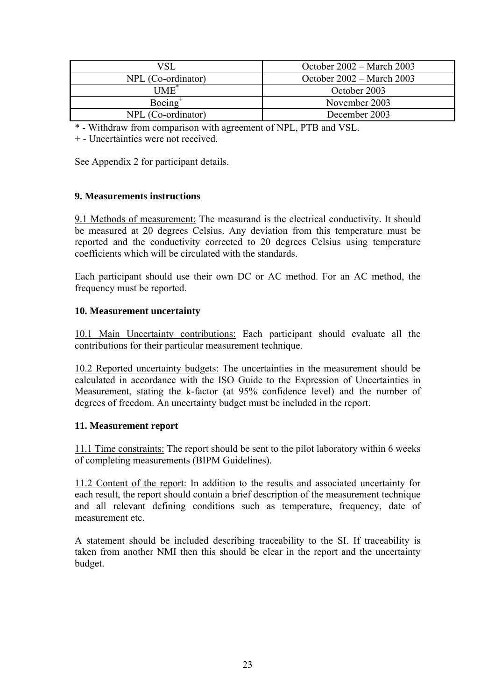| VSI                | October $2002 - \text{March } 2003$ |
|--------------------|-------------------------------------|
| NPL (Co-ordinator) | October $2002 - \text{March } 2003$ |
| <b>IME</b>         | October 2003                        |
| $Boeing+$          | November 2003                       |
| NPL (Co-ordinator) | December 2003                       |

\* - Withdraw from comparison with agreement of NPL, PTB and VSL.

+ - Uncertainties were not received.

See Appendix 2 for participant details.

## **9. Measurements instructions**

9.1 Methods of measurement: The measurand is the electrical conductivity. It should be measured at 20 degrees Celsius. Any deviation from this temperature must be reported and the conductivity corrected to 20 degrees Celsius using temperature coefficients which will be circulated with the standards.

Each participant should use their own DC or AC method. For an AC method, the frequency must be reported.

## **10. Measurement uncertainty**

10.1 Main Uncertainty contributions: Each participant should evaluate all the contributions for their particular measurement technique.

10.2 Reported uncertainty budgets: The uncertainties in the measurement should be calculated in accordance with the ISO Guide to the Expression of Uncertainties in Measurement, stating the k-factor (at 95% confidence level) and the number of degrees of freedom. An uncertainty budget must be included in the report.

#### **11. Measurement report**

11.1 Time constraints: The report should be sent to the pilot laboratory within 6 weeks of completing measurements (BIPM Guidelines).

11.2 Content of the report: In addition to the results and associated uncertainty for each result, the report should contain a brief description of the measurement technique and all relevant defining conditions such as temperature, frequency, date of measurement etc.

A statement should be included describing traceability to the SI. If traceability is taken from another NMI then this should be clear in the report and the uncertainty budget.